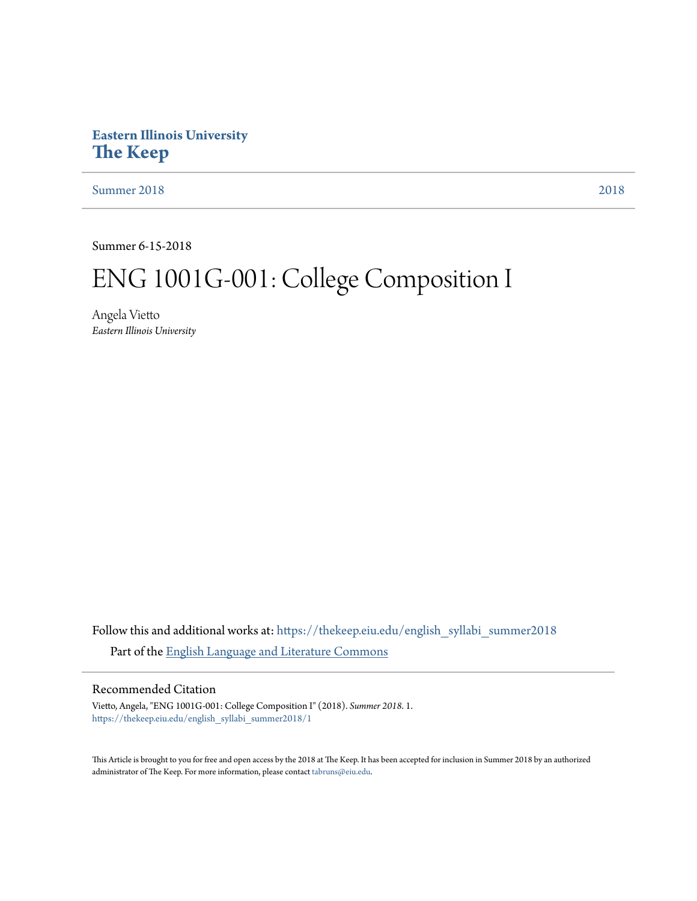# **Eastern Illinois University [The Keep](https://thekeep.eiu.edu?utm_source=thekeep.eiu.edu%2Fenglish_syllabi_summer2018%2F1&utm_medium=PDF&utm_campaign=PDFCoverPages)**

[Summer 2018](https://thekeep.eiu.edu/english_syllabi_summer2018?utm_source=thekeep.eiu.edu%2Fenglish_syllabi_summer2018%2F1&utm_medium=PDF&utm_campaign=PDFCoverPages) [2018](https://thekeep.eiu.edu/english_syllabi2018?utm_source=thekeep.eiu.edu%2Fenglish_syllabi_summer2018%2F1&utm_medium=PDF&utm_campaign=PDFCoverPages)

Summer 6-15-2018

# ENG 1001G-001: College Composition I

Angela Vietto *Eastern Illinois University*

Follow this and additional works at: [https://thekeep.eiu.edu/english\\_syllabi\\_summer2018](https://thekeep.eiu.edu/english_syllabi_summer2018?utm_source=thekeep.eiu.edu%2Fenglish_syllabi_summer2018%2F1&utm_medium=PDF&utm_campaign=PDFCoverPages) Part of the [English Language and Literature Commons](http://network.bepress.com/hgg/discipline/455?utm_source=thekeep.eiu.edu%2Fenglish_syllabi_summer2018%2F1&utm_medium=PDF&utm_campaign=PDFCoverPages)

## Recommended Citation

Vietto, Angela, "ENG 1001G-001: College Composition I" (2018). *Summer 2018*. 1. [https://thekeep.eiu.edu/english\\_syllabi\\_summer2018/1](https://thekeep.eiu.edu/english_syllabi_summer2018/1?utm_source=thekeep.eiu.edu%2Fenglish_syllabi_summer2018%2F1&utm_medium=PDF&utm_campaign=PDFCoverPages)

This Article is brought to you for free and open access by the 2018 at The Keep. It has been accepted for inclusion in Summer 2018 by an authorized administrator of The Keep. For more information, please contact [tabruns@eiu.edu.](mailto:tabruns@eiu.edu)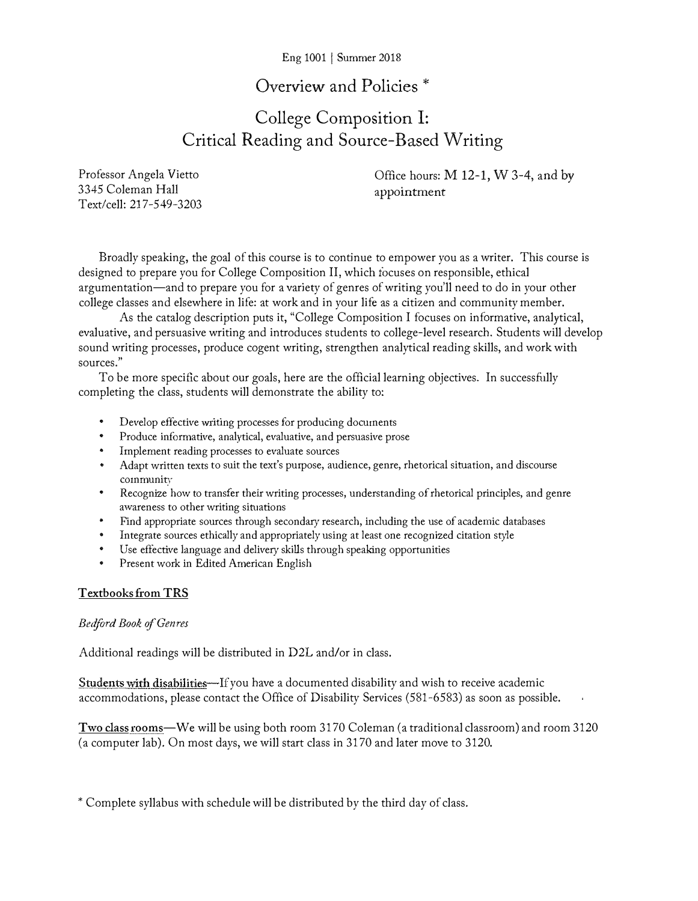### Eng 1001 j Summer 2018

# Overview and Policies \*

# College Composition I: Critical Reading and Source-Based Writing

Professor Angela Vietto 3345 Coleman Hall Text/cell: 217-549-3203 Office hours: M 12-1, W 3-4, and by appointment

Broadly speaking, the goal of this course is to continue to empower you as a writer. This course is designed to prepare you for College Composition II, which focuses on responsible, ethical argumentation-and to prepare you for a variety of genres of writing you'll need to do in your other college classes and elsewhere in life: at work and in your life as a citizen and community member.

As the catalog description puts it, "College Composition I focuses on informative, analytical, evaluative, and persuasive writing and introduces students to college-level research. Students will develop sound writing processes, produce cogent writing, strengthen analytical reading skills, and work with sources."

To be more specific about our goals, here are the official learning objectives. In successfully completing the class, students will demonstrate the ability to:

- Develop effective writing processes for producing docuinents
- Produce informative, analytical, evaluative, and persuasive prose
- Irnplernent reading processes to evaluate sources
- Adapt written texts to suit the text's purpose, audience, genre, rhetorical situation, and discourse co1nmunity
- Recognize how to transfer their writing processes, understanding of rhetorical principles, and genre awareness to other writing situations
- Find appropriate sources through secondary research, including the use of academic databases
- Integrate sources ethically and appropriately using at least one recognized citation style
- Use effective language and delivery skills through speaking opportunities
- Present work in Edited American English

#### Textbooks from TRS

#### Bedford Book of Genres

Additional readings will be distributed in D2L and/or in class.

Students with disabilities—If you have a documented disability and wish to receive academic accommodations, please contact the Office of Disability Services (581-6583) as soon as possible.

Two class rooms—We will be using both room 3170 Coleman (a traditional classroom) and room 3120 (a computer lab). On most days, we will start class in 3170 and later move to 3120.

\* Complete syllabus with schedule will be distributed by the third day of class.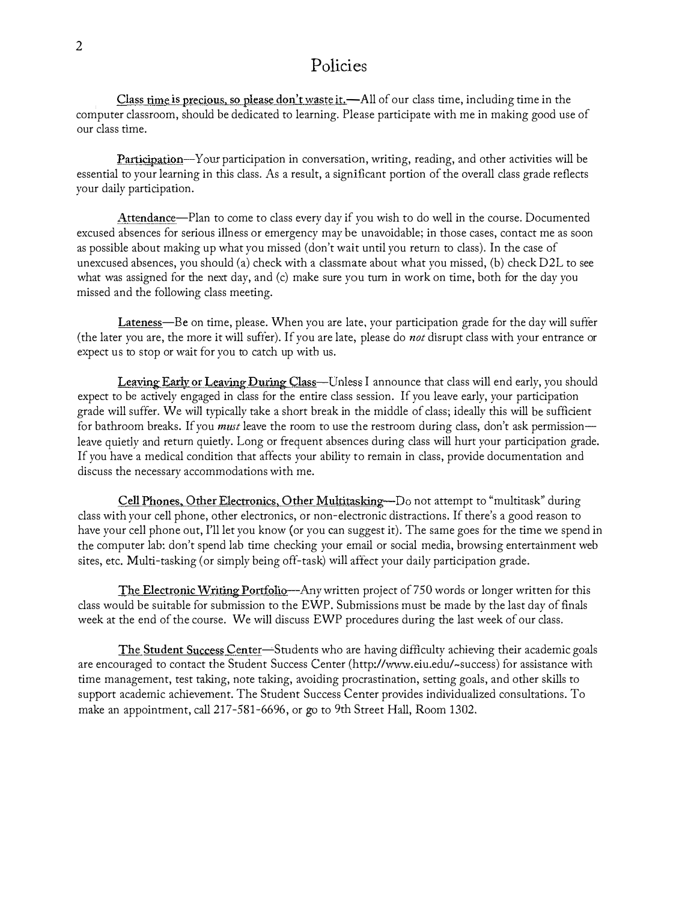## Policies

Class time is precious, so please don't waste it.—All of our class time, including time in the computer classroom, should be dedicated to learning. Please participate with me in making good use of our class time.

Participation-Your participation in conversation, writing, reading, and other activities will be essential to your learning in this class. As a result, a significant portion of the overall class grade reflects your daily participation.

Attendance-Plan to come to class every day if you wish to do well in the course. Documented excused absences for serious illness or emergency may be unavoidable; in those cases, contact me as soon as possible about making up what you missed (don't wait until you return to class). In the case of unexcused absences, you should (a) check with a classmate about what you missed, (b) check D2L to see what was assigned for the next day, and (c) make sure you turn in work on time, both for the day you missed and the following class meeting.

Lateness—Be on time, please. When you are late, your participation grade for the day will suffer (the later you are, the more it will suffer). If you are late, please do not disrupt class with your entrance or expect us to stop or wait for you to catch up with us.

Leaving Early or Leaving During Class-Unless I announce that class will end early, you should expect to be actively engaged in class for the entire class session. If you leave early, your participation grade will suffer. We will typically take a short break in the middle of class; ideally this will be sufficient for bathroom breaks. If you *must* leave the room to use the restroom during class, don't ask permission leave quietly and return quietly. Long or frequent absences during class will hurt your participation grade. If you have a medical condition that affects your ability to remain in class, provide documentation and discuss the necessary accommodations with me.

Cell Phones, Other Electronics, Other Multitasking-Do not attempt to "multitask" during class with your cell phone, other electronics, or non-electronic distractions. If there's a good reason to have your cell phone out, I'll let you know (or you can suggest it). The same goes for the time we spend in the computer lab: don't spend lab time checking your email or social media, browsing entertainment web sites, etc. Multi-tasking (or simply being off-task) will affect your daily participation grade.

The Electronic Writing Portfolio—Any written project of 750 words or longer written for this class would be suitable for submission to the EWP. Submissions must be made by the last day of finals week at the end of the course. We will discuss EWP procedures during the last week of our class.

The Student Success Center-Students who are having difficulty achieving their academic goals are encouraged to contact the Student Success Center (http://www.eiu.edu/-success) for assistance witb time management, test taking, note taking, avoiding procrastination, setting goals, and other skills to support academic achievement. The Student Success Center provides individualized consultations. To make an appointment, call 217-581-6696, or go to 9th Street Hall, Room 1302.